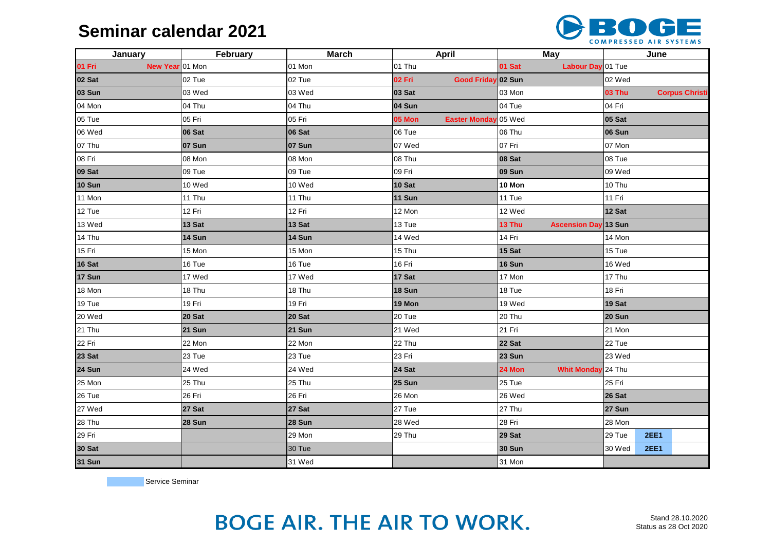### **Seminar calendar 2021**



| January                   | February | <b>March</b>  | <b>April</b>                   | <b>May</b>                            | June          |             |                       |
|---------------------------|----------|---------------|--------------------------------|---------------------------------------|---------------|-------------|-----------------------|
| 01 Fri<br>New Year 01 Mon |          | 01 Mon        | 01 Thu                         | 01 Sat<br>Labour Day 01 Tue           |               |             |                       |
| 02 Sat                    | 02 Tue   | 02 Tue        | 02 Fri<br>Good Friday 02 Sun   |                                       | 02 Wed        |             |                       |
| 03 Sun                    | 03 Wed   | 03 Wed        | 03 Sat<br>03 Mon               |                                       | <b>03 Thu</b> |             | <b>Corpus Christi</b> |
| 04 Mon                    | 04 Thu   | 04 Thu        | 04 Sun                         | $ 04 \text{ Tue} $                    | 04 Fri        |             |                       |
| 05 Tue                    | 05 Fri   | 05 Fri        | Easter Monday 05 Wed<br>05 Mon |                                       | 05 Sat        |             |                       |
| 06 Wed                    | 06 Sat   | 06 Sat        | 06 Tue                         | 06 Thu                                | 06 Sun        |             |                       |
| 07 Thu                    | 07 Sun   | 07 Sun        | 07 Wed                         | 07 Fri                                | 07 Mon        |             |                       |
| 08 Fri                    | 08 Mon   | 08 Mon        | 08 Thu                         | 08 Sat                                | 08 Tue        |             |                       |
| 09 Sat                    | 09 Tue   | 09 Tue        | 09 Fri                         | <b>09 Sun</b>                         | 09 Wed        |             |                       |
| <b>10 Sun</b>             | 10 Wed   | 10 Wed        | 10 Sat                         | 10 Mon                                | 10 Thu        |             |                       |
| 11 Mon                    | 11 Thu   | 11 Thu        | 11 Sun                         | 11 Tue                                | 11 Fri        |             |                       |
| 12 Tue                    | 12 Fri   | 12 Fri        | 12 Mon                         | 12 Wed                                | 12 Sat        |             |                       |
| 13 Wed                    | 13 Sat   | 13 Sat        | 13 Tue                         | 13 Thu<br><b>Ascension Day 13 Sun</b> |               |             |                       |
| 14 Thu                    | 14 Sun   | 14 Sun        | 14 Wed                         | 14 Fri                                | 14 Mon        |             |                       |
| 15 Fri                    | 15 Mon   | 15 Mon        | 15 Thu                         | 15 Sat                                | 15 Tue        |             |                       |
| 16 Sat                    | 16 Tue   | 16 Tue        | 16 Fri                         | 16 Sun                                | 16 Wed        |             |                       |
| 17 Sun                    | 17 Wed   | 17 Wed        | 17 Sat                         | 17 Mon                                | 17 Thu        |             |                       |
| 18 Mon                    | 18 Thu   | 18 Thu        | 18 Sun                         | 18 Tue                                | 18 Fri        |             |                       |
| 19 Tue                    | 19 Fri   | 19 Fri        | 19 Mon                         | 19 Wed                                | 19 Sat        |             |                       |
| 20 Wed                    | 20 Sat   | <b>20 Sat</b> | 20 Tue                         | 20 Thu                                | 20 Sun        |             |                       |
| 21 Thu                    | 21 Sun   | <b>21 Sun</b> | 21 Wed                         | 21 Fri                                | 21 Mon        |             |                       |
| 22 Fri                    | 22 Mon   | 22 Mon        | 22 Thu                         | 22 Sat                                | 22 Tue        |             |                       |
| 23 Sat                    | 23 Tue   | 23 Tue        | 23 Fri                         | 23 Sun                                | 23 Wed        |             |                       |
| 24 Sun                    | 24 Wed   | 24 Wed        | 24 Sat                         | 24 Mon<br><b>Whit Monday</b>          | $24$ Thu      |             |                       |
| 25 Mon                    | 25 Thu   | 25 Thu        | 25 Sun                         | 25 Tue                                | 25 Fri        |             |                       |
| 26 Tue                    | 26 Fri   | 26 Fri        | 26 Mon                         | 26 Wed                                | 26 Sat        |             |                       |
| 27 Wed                    | 27 Sat   | <b>27 Sat</b> | 27 Tue                         | 27 Thu                                | 27 Sun        |             |                       |
| 28 Thu                    | 28 Sun   | <b>28 Sun</b> | 28 Wed                         | 28 Fri                                | 28 Mon        |             |                       |
| 29 Fri                    |          | 29 Mon        | 29 Thu<br>29 Sat               |                                       | 29 Tue        | <b>2EE1</b> |                       |
| 30 Sat                    |          | 30 Tue        |                                | <b>30 Sun</b>                         | 30 Wed        | <b>2EE1</b> |                       |
| <b>31 Sun</b>             |          | 31 Wed        |                                | 31 Mon                                |               |             |                       |

Service Seminar

# **BOGE AIR. THE AIR TO WORK.**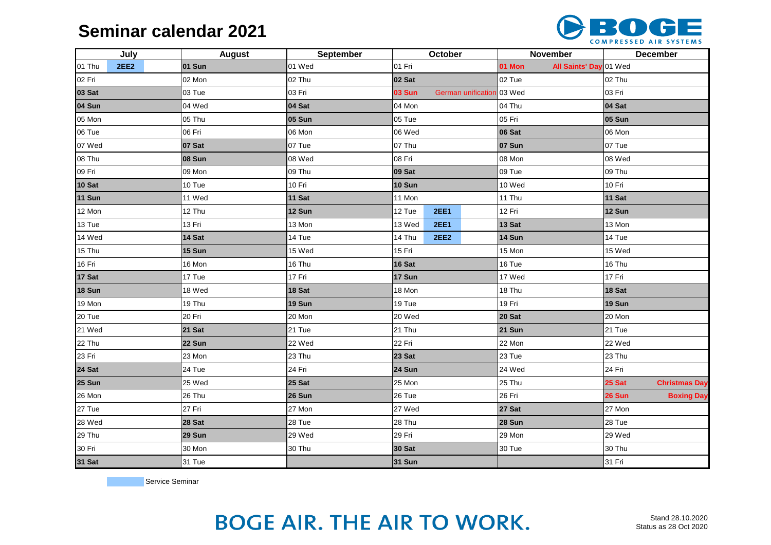### **Seminar calendar 2021**



|               | July        | <b>August</b> | September     | October                         |             | November                         |        | <b>December</b> |                      |  |
|---------------|-------------|---------------|---------------|---------------------------------|-------------|----------------------------------|--------|-----------------|----------------------|--|
| 01 Thu        | <b>2EE2</b> | 01 Sun        | 01 Wed        | 01 Fri                          |             | All Saints' Day 01 Wed<br>01 Mon |        |                 |                      |  |
| 02 Fri        |             | 02 Mon        | 02 Thu        | 02 Sat                          |             | 02 Tue                           |        | 02 Thu          |                      |  |
| 03 Sat        |             | 03 Tue        | 03 Fri        | <b>03 Sun</b>                   |             | German unification 03 Wed        |        |                 | 03 Fri               |  |
| 04 Sun        |             | 04 Wed        | 04 Sat        | 04 Mon                          |             |                                  | 04 Thu |                 | 04 Sat               |  |
| 05 Mon        |             | 05 Thu        | <b>05 Sun</b> | 05 Tue                          |             |                                  | 05 Fri |                 | <b>05 Sun</b>        |  |
| 06 Tue        |             | 06 Fri        | 06 Mon        | 06 Wed                          |             |                                  | 06 Sat |                 | 06 Mon               |  |
| 07 Wed        |             | 07 Sat        | 07 Tue        | 07 Thu                          |             | 07 Sun                           |        | 07 Tue          |                      |  |
| 08 Thu        |             | 08 Sun        | 08 Wed        | 08 Fri                          |             | 08 Mon                           |        | 08 Wed          |                      |  |
| 09 Fri        |             | 09 Mon        | 09 Thu        | 09 Sat                          |             | 09 Tue                           | 09 Thu |                 |                      |  |
| 10 Sat        |             | 10 Tue        | 10 Fri        | 10 Sun                          |             | 10 Wed                           |        | 10 Fri          |                      |  |
| <b>11 Sun</b> |             | 11 Wed        | 11 Sat        | 11 Mon                          |             | 11 Thu                           |        | <b>11 Sat</b>   |                      |  |
| 12 Mon        |             | 12 Thu        | 12 Sun        | 12 Tue                          | <b>2EE1</b> |                                  | 12 Fri |                 | 12 Sun               |  |
| 13 Tue        |             | 13 Fri        | 13 Mon        | 13 Wed                          | <b>2EE1</b> |                                  | 13 Sat |                 | 13 Mon               |  |
| 14 Wed        |             | 14 Sat        | 14 Tue        | 14 Sun<br><b>2EE2</b><br>14 Thu |             |                                  | 14 Tue |                 |                      |  |
| 15 Thu        |             | 15 Sun        | 15 Wed        | 15 Fri                          |             |                                  | 15 Mon |                 | 15 Wed               |  |
| 16 Fri        |             | 16 Mon        | 16 Thu        | 16 Sat                          |             | 16 Tue                           |        | 16 Thu          |                      |  |
| 17 Sat        |             | 17 Tue        | 17 Fri        | 17 Sun                          |             | 17 Wed                           |        | 17 Fri          |                      |  |
| 18 Sun        |             | 18 Wed        | 18 Sat        | 18 Mon                          |             | 18 Thu                           |        | 18 Sat          |                      |  |
| 19 Mon        |             | 19 Thu        | 19 Sun        | 19 Tue                          |             | 19 Fri                           |        | 19 Sun          |                      |  |
| 20 Tue        |             | 20 Fri        | 20 Mon        | 20 Wed                          |             | 20 Sat                           |        | 20 Mon          |                      |  |
| 21 Wed        |             | 21 Sat        | 21 Tue        | 21 Thu                          |             | <b>21 Sun</b>                    |        | 21 Tue          |                      |  |
| 22 Thu        |             | 22 Sun        | 22 Wed        | 22 Fri                          |             | 22 Mon                           |        | 22 Wed          |                      |  |
| 23 Fri        |             | 23 Mon        | 23 Thu        | 23 Sat                          |             | 23 Tue                           |        | 23 Thu          |                      |  |
| 24 Sat        |             | 24 Tue        | 24 Fri        | 24 Sun                          |             | 24 Wed                           |        | 24 Fri          |                      |  |
| 25 Sun        |             | 25 Wed        | 25 Sat        | 25 Mon                          |             | 25 Thu                           |        | 25 Sat          | <b>Christmas Day</b> |  |
| 26 Mon        |             | 26 Thu        | 26 Sun        | 26 Tue                          |             | 26 Fri                           |        | 26 Sun          | <b>Boxing Day</b>    |  |
| 27 Tue        |             | 27 Fri        | 27 Mon        | 27 Wed                          |             | 27 Sat                           |        | 27 Mon          |                      |  |
| 28 Wed        |             | 28 Sat        | 28 Tue        | 28 Thu                          |             | 28 Sun                           |        | 28 Tue          |                      |  |
| 29 Thu        |             | 29 Sun        | 29 Wed        | 29 Fri                          |             | 29 Mon                           |        | 29 Wed          |                      |  |
| 30 Fri        |             | 30 Mon        | 30 Thu        | 30 Sat                          |             | 30 Tue                           |        | 30 Thu          |                      |  |
| <b>31 Sat</b> |             | 31 Tue        |               | <b>31 Sun</b>                   |             |                                  |        |                 | 31 Fri               |  |

Service Seminar

# **BOGE AIR. THE AIR TO WORK.**